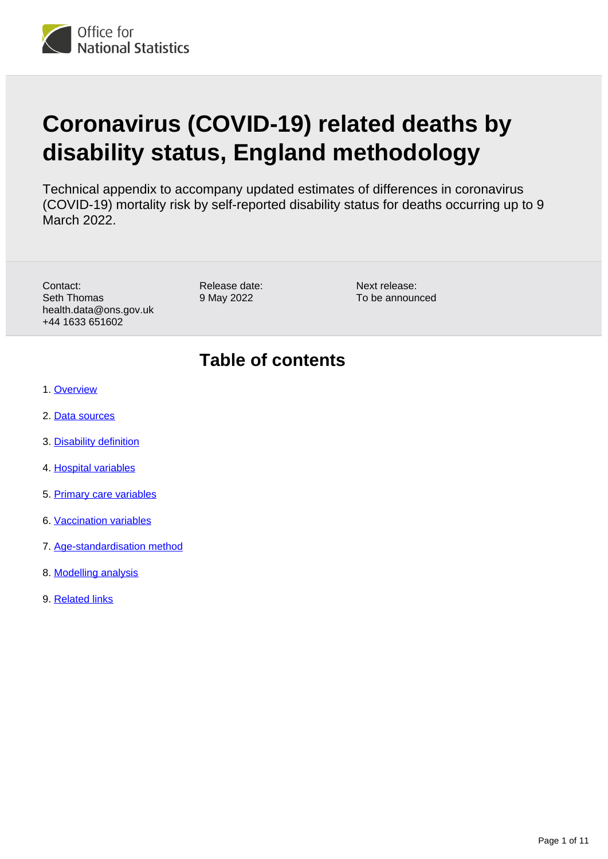

# **Coronavirus (COVID-19) related deaths by disability status, England methodology**

Technical appendix to accompany updated estimates of differences in coronavirus (COVID-19) mortality risk by self-reported disability status for deaths occurring up to 9 March 2022.

Contact: Seth Thomas health.data@ons.gov.uk +44 1633 651602

Release date: 9 May 2022

Next release: To be announced

#### **Table of contents**

- 1. [Overview](#page-1-0)
- 2. [Data sources](#page-1-1)
- 3. [Disability definition](#page-2-0)
- 4. [Hospital variables](#page-2-1)
- 5. [Primary care variables](#page-3-0)
- 6. [Vaccination variables](#page-5-0)
- 7. [Age-standardisation method](#page-5-1)
- 8. [Modelling analysis](#page-7-0)
- 9. [Related links](#page-10-0)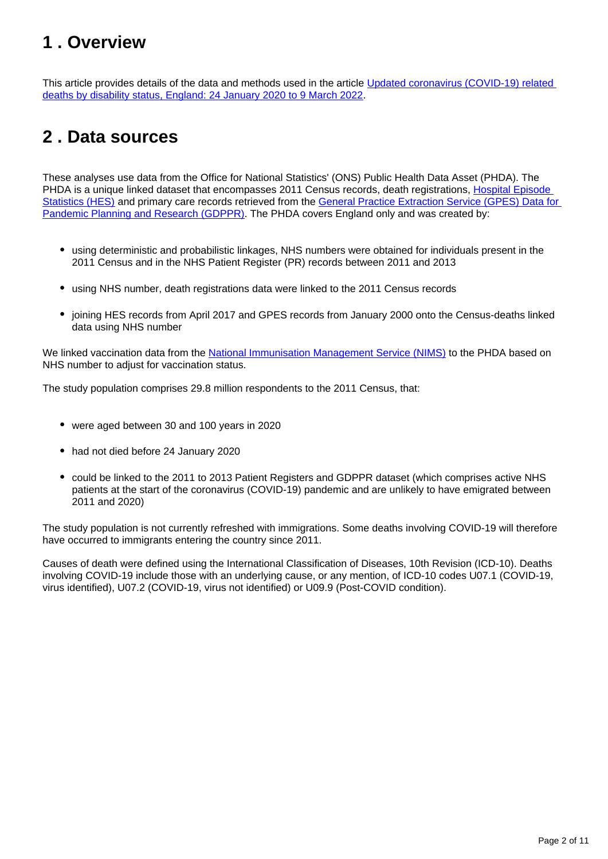#### <span id="page-1-0"></span>**1 . Overview**

This article provides details of the data and methods used in the article Updated coronavirus (COVID-19) related [deaths by disability status, England: 24 January 2020 to 9 March 2022.](https://www.ons.gov.uk/peoplepopulationandcommunity/birthsdeathsandmarriages/deaths/articles/coronaviruscovid19relateddeathsbydisabilitystatusenglandandwales/24january2020to9march2022)

#### <span id="page-1-1"></span>**2 . Data sources**

These analyses use data from the Office for National Statistics' (ONS) Public Health Data Asset (PHDA). The PHDA is a unique linked dataset that encompasses 2011 Census records, death registrations, [Hospital Episode](https://digital.nhs.uk/data-and-information/data-tools-and-services/data-services/hospital-episode-statistics)  [Statistics \(HES\)](https://digital.nhs.uk/data-and-information/data-tools-and-services/data-services/hospital-episode-statistics) and primary care records retrieved from the General Practice Extraction Service (GPES) Data for [Pandemic Planning and Research \(GDPPR\).](https://digital.nhs.uk/coronavirus/gpes-data-for-pandemic-planning-and-research/guide-for-analysts-and-users-of-the-data) The PHDA covers England only and was created by:

- using deterministic and probabilistic linkages, NHS numbers were obtained for individuals present in the 2011 Census and in the NHS Patient Register (PR) records between 2011 and 2013
- using NHS number, death registrations data were linked to the 2011 Census records
- joining HES records from April 2017 and GPES records from January 2000 onto the Census-deaths linked data using NHS number

We linked vaccination data from the [National Immunisation Management Service \(NIMS\)](https://www.england.nhs.uk/contact-us/privacy-notice/national-flu-vaccination-programme/#immunisation) to the PHDA based on NHS number to adjust for vaccination status.

The study population comprises 29.8 million respondents to the 2011 Census, that:

- were aged between 30 and 100 years in 2020
- had not died before 24 January 2020
- could be linked to the 2011 to 2013 Patient Registers and GDPPR dataset (which comprises active NHS patients at the start of the coronavirus (COVID-19) pandemic and are unlikely to have emigrated between 2011 and 2020)

The study population is not currently refreshed with immigrations. Some deaths involving COVID-19 will therefore have occurred to immigrants entering the country since 2011.

Causes of death were defined using the International Classification of Diseases, 10th Revision (ICD-10). Deaths involving COVID-19 include those with an underlying cause, or any mention, of ICD-10 codes U07.1 (COVID-19, virus identified), U07.2 (COVID-19, virus not identified) or U09.9 (Post-COVID condition).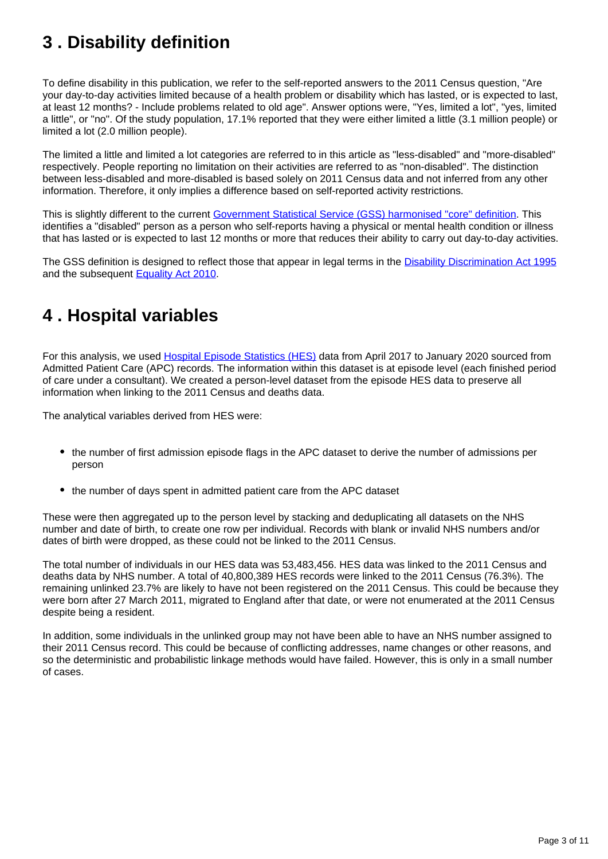## <span id="page-2-0"></span>**3 . Disability definition**

To define disability in this publication, we refer to the self-reported answers to the 2011 Census question, "Are your day-to-day activities limited because of a health problem or disability which has lasted, or is expected to last, at least 12 months? - Include problems related to old age". Answer options were, "Yes, limited a lot", "yes, limited a little", or "no". Of the study population, 17.1% reported that they were either limited a little (3.1 million people) or limited a lot (2.0 million people).

The limited a little and limited a lot categories are referred to in this article as "less-disabled" and "more-disabled" respectively. People reporting no limitation on their activities are referred to as "non-disabled". The distinction between less-disabled and more-disabled is based solely on 2011 Census data and not inferred from any other information. Therefore, it only implies a difference based on self-reported activity restrictions.

This is slightly different to the current [Government Statistical Service \(GSS\) harmonised "core" definition.](https://gss.civilservice.gov.uk/policy-store/measuring-disability-for-the-equality-act-2010/) This identifies a "disabled" person as a person who self-reports having a physical or mental health condition or illness that has lasted or is expected to last 12 months or more that reduces their ability to carry out day-to-day activities.

The GSS definition is designed to reflect those that appear in legal terms in the **[Disability Discrimination Act 1995](https://www.legislation.gov.uk/ukpga/1995/50/contents)** and the subsequent **Equality Act 2010**.

#### <span id="page-2-1"></span>**4 . Hospital variables**

For this analysis, we used **Hospital Episode Statistics (HES)** data from April 2017 to January 2020 sourced from Admitted Patient Care (APC) records. The information within this dataset is at episode level (each finished period of care under a consultant). We created a person-level dataset from the episode HES data to preserve all information when linking to the 2011 Census and deaths data.

The analytical variables derived from HES were:

- the number of first admission episode flags in the APC dataset to derive the number of admissions per person
- the number of days spent in admitted patient care from the APC dataset

These were then aggregated up to the person level by stacking and deduplicating all datasets on the NHS number and date of birth, to create one row per individual. Records with blank or invalid NHS numbers and/or dates of birth were dropped, as these could not be linked to the 2011 Census.

The total number of individuals in our HES data was 53,483,456. HES data was linked to the 2011 Census and deaths data by NHS number. A total of 40,800,389 HES records were linked to the 2011 Census (76.3%). The remaining unlinked 23.7% are likely to have not been registered on the 2011 Census. This could be because they were born after 27 March 2011, migrated to England after that date, or were not enumerated at the 2011 Census despite being a resident.

In addition, some individuals in the unlinked group may not have been able to have an NHS number assigned to their 2011 Census record. This could be because of conflicting addresses, name changes or other reasons, and so the deterministic and probabilistic linkage methods would have failed. However, this is only in a small number of cases.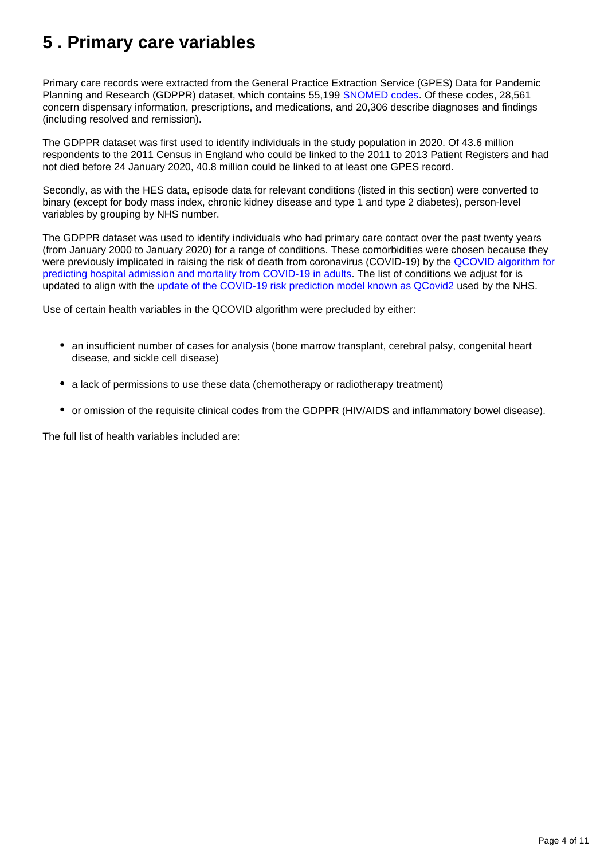#### <span id="page-3-0"></span>**5 . Primary care variables**

Primary care records were extracted from the General Practice Extraction Service (GPES) Data for Pandemic Planning and Research (GDPPR) dataset, which contains 55,199 **SNOMED** codes. Of these codes, 28,561 concern dispensary information, prescriptions, and medications, and 20,306 describe diagnoses and findings (including resolved and remission).

The GDPPR dataset was first used to identify individuals in the study population in 2020. Of 43.6 million respondents to the 2011 Census in England who could be linked to the 2011 to 2013 Patient Registers and had not died before 24 January 2020, 40.8 million could be linked to at least one GPES record.

Secondly, as with the HES data, episode data for relevant conditions (listed in this section) were converted to binary (except for body mass index, chronic kidney disease and type 1 and type 2 diabetes), person-level variables by grouping by NHS number.

The GDPPR dataset was used to identify individuals who had primary care contact over the past twenty years (from January 2000 to January 2020) for a range of conditions. These comorbidities were chosen because they were previously implicated in raising the risk of death from coronavirus (COVID-19) by the QCOVID algorithm for [predicting hospital admission and mortality from COVID-19 in adults](https://www.bmj.com/content/371/bmj.m3731). The list of conditions we adjust for is updated to align with the [update of the COVID-19 risk prediction model known as QCovid2](https://www.bmj.com/content/374/bmj.n2244) used by the NHS.

Use of certain health variables in the QCOVID algorithm were precluded by either:

- an insufficient number of cases for analysis (bone marrow transplant, cerebral palsy, congenital heart disease, and sickle cell disease)
- a lack of permissions to use these data (chemotherapy or radiotherapy treatment)
- or omission of the requisite clinical codes from the GDPPR (HIV/AIDS and inflammatory bowel disease).

The full list of health variables included are: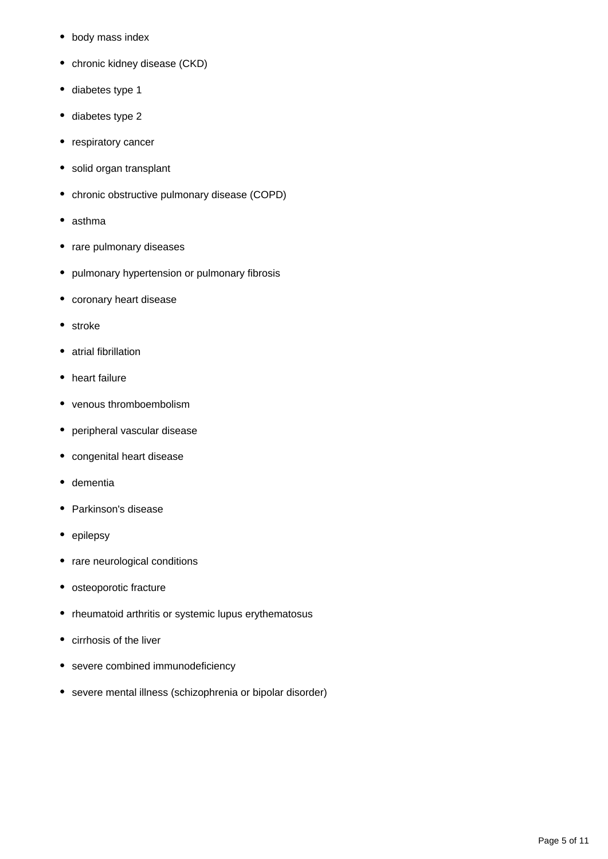- body mass index
- chronic kidney disease (CKD)
- diabetes type 1
- diabetes type 2
- respiratory cancer
- solid organ transplant
- chronic obstructive pulmonary disease (COPD)
- asthma
- rare pulmonary diseases
- pulmonary hypertension or pulmonary fibrosis
- coronary heart disease
- stroke
- atrial fibrillation
- heart failure
- venous thromboembolism
- peripheral vascular disease
- congenital heart disease
- dementia
- Parkinson's disease
- epilepsy
- rare neurological conditions
- osteoporotic fracture
- rheumatoid arthritis or systemic lupus erythematosus
- cirrhosis of the liver
- severe combined immunodeficiency
- severe mental illness (schizophrenia or bipolar disorder)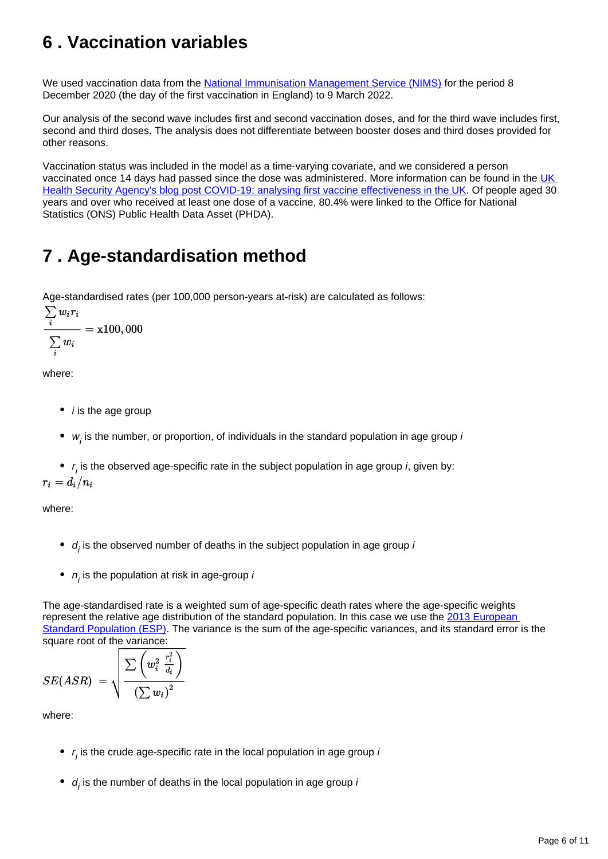### <span id="page-5-0"></span>**6 . Vaccination variables**

We used vaccination data from the [National Immunisation Management Service \(NIMS\)](https://www.england.nhs.uk/contact-us/privacy-notice/national-flu-vaccination-programme/#immunisation) for the period 8 December 2020 (the day of the first vaccination in England) to 9 March 2022.

Our analysis of the second wave includes first and second vaccination doses, and for the third wave includes first, second and third doses. The analysis does not differentiate between booster doses and third doses provided for other reasons.

Vaccination status was included in the model as a time-varying covariate, and we considered a person vaccinated once 14 days had passed since the dose was administered. More information can be found in the UK [Health Security Agency's blog post COVID-19: analysing first vaccine effectiveness in the UK.](https://ukhsa.blog.gov.uk/2021/02/23/covid-19-analysing-first-vaccine-effectiveness-in-the-uk/) Of people aged 30 years and over who received at least one dose of a vaccine, 80.4% were linked to the Office for National Statistics (ONS) Public Health Data Asset (PHDA).

### <span id="page-5-1"></span>**7 . Age-standardisation method**

Age-standardised rates (per 100,000 person-years at-risk) are calculated as follows:

$$
\frac{\sum_i w_i r_i}{\sum_i w_i} = \textbf{x100}, 000
$$

where:

- $\bullet$  *i* is the age group
- $w<sub>j</sub>$  is the number, or proportion, of individuals in the standard population in age group  $\mu$

 $r_j$  is the observed age-specific rate in the subject population in age group *i*, given by:

where:

- $d_i$  is the observed number of deaths in the subject population in age group  $\mu$
- $n_{\tilde{l}}$  is the population at risk in age-group  $l$

The age-standardised rate is a weighted sum of age-specific death rates where the age-specific weights represent the relative age distribution of the standard population. In this case we use the 2013 European [Standard Population \(ESP\).](https://ec.europa.eu/eurostat/web/products-manuals-and-guidelines/-/KS-RA-13-028) The variance is the sum of the age-specific variances, and its standard error is the square root of the variance:

$$
SE(ASR) \ = \sqrt{\frac{\sum{\left(w_i^2 \ \frac{r_i^2}{d_i}\right)}}{\left(\sum{w_i}\right)^2}}
$$

where:

- $r_j$  is the crude age-specific rate in the local population in age group  $\mu$
- $d_i$  is the number of deaths in the local population in age group  $\mu$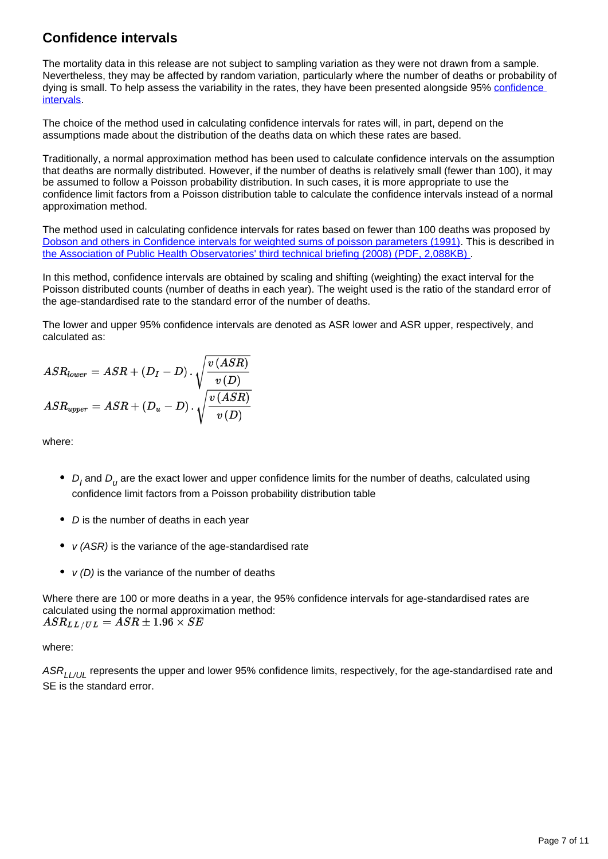#### **Confidence intervals**

The mortality data in this release are not subject to sampling variation as they were not drawn from a sample. Nevertheless, they may be affected by random variation, particularly where the number of deaths or probability of dying is small. To help assess the variability in the rates, they have been presented alongside 95% [confidence](https://www.ons.gov.uk/methodology/methodologytopicsandstatisticalconcepts/uncertaintyandhowwemeasureit#confidence-interval)  [intervals](https://www.ons.gov.uk/methodology/methodologytopicsandstatisticalconcepts/uncertaintyandhowwemeasureit#confidence-interval).

The choice of the method used in calculating confidence intervals for rates will, in part, depend on the assumptions made about the distribution of the deaths data on which these rates are based.

Traditionally, a normal approximation method has been used to calculate confidence intervals on the assumption that deaths are normally distributed. However, if the number of deaths is relatively small (fewer than 100), it may be assumed to follow a Poisson probability distribution. In such cases, it is more appropriate to use the confidence limit factors from a Poisson distribution table to calculate the confidence intervals instead of a normal approximation method.

The method used in calculating confidence intervals for rates based on fewer than 100 deaths was proposed by [Dobson and others in Confidence intervals for weighted sums of poisson parameters \(1991\).](https://onlinelibrary.wiley.com/doi/abs/10.1002/sim.4780100317) This is described in [the Association of Public Health Observatories' third technical briefing \(2008\) \(PDF, 2,088KB\) .](https://webarchive.nationalarchives.gov.uk/ukgwa/20170106081009/http:/www.apho.org.uk/resource/view.aspx?RID=48457)

In this method, confidence intervals are obtained by scaling and shifting (weighting) the exact interval for the Poisson distributed counts (number of deaths in each year). The weight used is the ratio of the standard error of the age-standardised rate to the standard error of the number of deaths.

The lower and upper 95% confidence intervals are denoted as ASR lower and ASR upper, respectively, and calculated as:

$$
ASR_{lower} = ASR + (D_I - D) \cdot \sqrt{\frac{v\left(ASR\right)}{v\left(D\right)}}
$$
  

$$
ASR_{upper} = ASR + (D_u - D) \cdot \sqrt{\frac{v\left(ASR\right)}{v\left(D\right)}}
$$

where:

- $D_I$  and  $D_U$  are the exact lower and upper confidence limits for the number of deaths, calculated using confidence limit factors from a Poisson probability distribution table
- $\bullet$  D is the number of deaths in each year
- $v$  (ASR) is the variance of the age-standardised rate
- $v(D)$  is the variance of the number of deaths

Where there are 100 or more deaths in a year, the 95% confidence intervals for age-standardised rates are calculated using the normal approximation method:<br> $ASR_{LL/UL} = ASR \pm 1.96 \times SE$ 

#### where:

ASR<sub>LL/UL</sub> represents the upper and lower 95% confidence limits, respectively, for the age-standardised rate and SE is the standard error.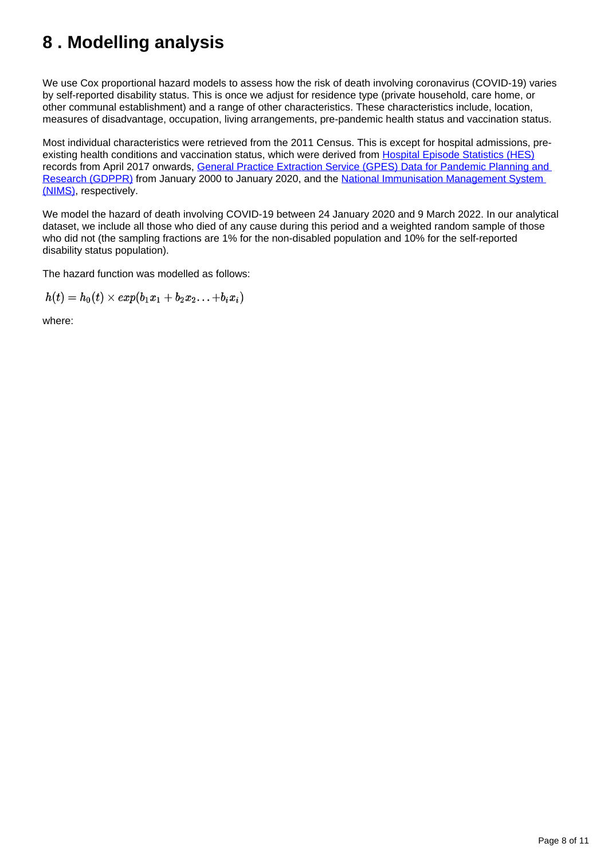### <span id="page-7-0"></span>**8 . Modelling analysis**

We use Cox proportional hazard models to assess how the risk of death involving coronavirus (COVID-19) varies by self-reported disability status. This is once we adjust for residence type (private household, care home, or other communal establishment) and a range of other characteristics. These characteristics include, location, measures of disadvantage, occupation, living arrangements, pre-pandemic health status and vaccination status.

Most individual characteristics were retrieved from the 2011 Census. This is except for hospital admissions, preexisting health conditions and vaccination status, which were derived from [Hospital Episode Statistics \(HES\)](https://digital.nhs.uk/data-and-information/data-tools-and-services/data-services/hospital-episode-statistics) records from April 2017 onwards, [General Practice Extraction Service \(GPES\) Data for Pandemic Planning and](https://digital.nhs.uk/coronavirus/gpes-data-for-pandemic-planning-and-research/guide-for-analysts-and-users-of-the-data)  [Research \(GDPPR\)](https://digital.nhs.uk/coronavirus/gpes-data-for-pandemic-planning-and-research/guide-for-analysts-and-users-of-the-data) from January 2000 to January 2020, and the [National Immunisation Management System](https://www.england.nhs.uk/contact-us/privacy-notice/national-flu-vaccination-programme/#immunisation)  [\(NIMS\),](https://www.england.nhs.uk/contact-us/privacy-notice/national-flu-vaccination-programme/#immunisation) respectively.

We model the hazard of death involving COVID-19 between 24 January 2020 and 9 March 2022. In our analytical dataset, we include all those who died of any cause during this period and a weighted random sample of those who did not (the sampling fractions are 1% for the non-disabled population and 10% for the self-reported disability status population).

The hazard function was modelled as follows:

 $h(t) = h_0(t) \times exp(b_1x_1 + b_2x_2... + b_ix_i)$ 

where: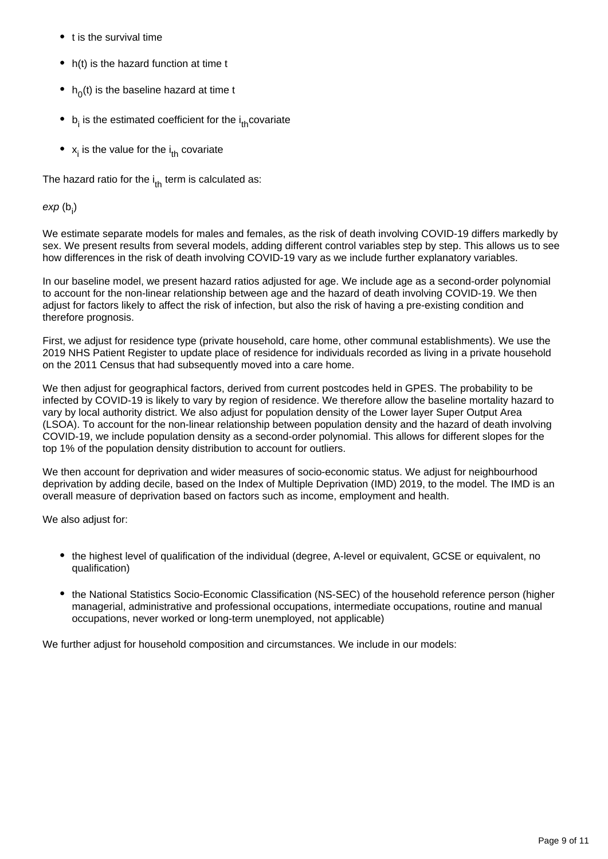- t is the survival time
- h(t) is the hazard function at time t
- $h_0(t)$  is the baseline hazard at time t
- $\bullet$  b<sub>i</sub> is the estimated coefficient for the  $i_{th}$  covariate
- $x_i$  is the value for the  $i_{th}$  covariate

The hazard ratio for the  $i_{th}$  term is calculated as:

exp $(b_i)$ 

We estimate separate models for males and females, as the risk of death involving COVID-19 differs markedly by sex. We present results from several models, adding different control variables step by step. This allows us to see how differences in the risk of death involving COVID-19 vary as we include further explanatory variables.

In our baseline model, we present hazard ratios adjusted for age. We include age as a second-order polynomial to account for the non-linear relationship between age and the hazard of death involving COVID-19. We then adjust for factors likely to affect the risk of infection, but also the risk of having a pre-existing condition and therefore prognosis.

First, we adjust for residence type (private household, care home, other communal establishments). We use the 2019 NHS Patient Register to update place of residence for individuals recorded as living in a private household on the 2011 Census that had subsequently moved into a care home.

We then adjust for geographical factors, derived from current postcodes held in GPES. The probability to be infected by COVID-19 is likely to vary by region of residence. We therefore allow the baseline mortality hazard to vary by local authority district. We also adjust for population density of the Lower layer Super Output Area (LSOA). To account for the non-linear relationship between population density and the hazard of death involving COVID-19, we include population density as a second-order polynomial. This allows for different slopes for the top 1% of the population density distribution to account for outliers.

We then account for deprivation and wider measures of socio-economic status. We adjust for neighbourhood deprivation by adding decile, based on the Index of Multiple Deprivation (IMD) 2019, to the model. The IMD is an overall measure of deprivation based on factors such as income, employment and health.

We also adjust for:

- the highest level of qualification of the individual (degree, A-level or equivalent, GCSE or equivalent, no qualification)
- the National Statistics Socio-Economic Classification (NS-SEC) of the household reference person (higher managerial, administrative and professional occupations, intermediate occupations, routine and manual occupations, never worked or long-term unemployed, not applicable)

We further adjust for household composition and circumstances. We include in our models: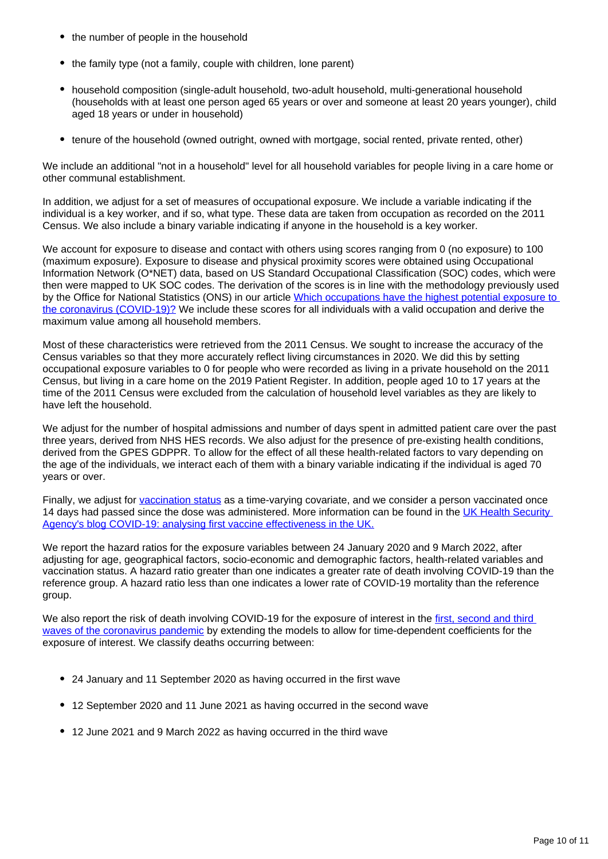- the number of people in the household
- the family type (not a family, couple with children, lone parent)
- household composition (single-adult household, two-adult household, multi-generational household (households with at least one person aged 65 years or over and someone at least 20 years younger), child aged 18 years or under in household)
- tenure of the household (owned outright, owned with mortgage, social rented, private rented, other)

We include an additional "not in a household" level for all household variables for people living in a care home or other communal establishment.

In addition, we adjust for a set of measures of occupational exposure. We include a variable indicating if the individual is a key worker, and if so, what type. These data are taken from occupation as recorded on the 2011 Census. We also include a binary variable indicating if anyone in the household is a key worker.

We account for exposure to disease and contact with others using scores ranging from 0 (no exposure) to 100 (maximum exposure). Exposure to disease and physical proximity scores were obtained using Occupational Information Network (O\*NET) data, based on US Standard Occupational Classification (SOC) codes, which were then were mapped to UK SOC codes. The derivation of the scores is in line with the methodology previously used by the Office for National Statistics (ONS) in our article [Which occupations have the highest potential exposure to](https://www.ons.gov.uk/employmentandlabourmarket/peopleinwork/employmentandemployeetypes/articles/whichoccupationshavethehighestpotentialexposuretothecoronaviruscovid19/2020-05-11)  [the coronavirus \(COVID-19\)?](https://www.ons.gov.uk/employmentandlabourmarket/peopleinwork/employmentandemployeetypes/articles/whichoccupationshavethehighestpotentialexposuretothecoronaviruscovid19/2020-05-11) We include these scores for all individuals with a valid occupation and derive the maximum value among all household members.

Most of these characteristics were retrieved from the 2011 Census. We sought to increase the accuracy of the Census variables so that they more accurately reflect living circumstances in 2020. We did this by setting occupational exposure variables to 0 for people who were recorded as living in a private household on the 2011 Census, but living in a care home on the 2019 Patient Register. In addition, people aged 10 to 17 years at the time of the 2011 Census were excluded from the calculation of household level variables as they are likely to have left the household.

We adjust for the number of hospital admissions and number of days spent in admitted patient care over the past three years, derived from NHS HES records. We also adjust for the presence of pre-existing health conditions, derived from the GPES GDPPR. To allow for the effect of all these health-related factors to vary depending on the age of the individuals, we interact each of them with a binary variable indicating if the individual is aged 70 years or over.

Finally, we adjust for [vaccination status](https://www.ons.gov.uk/peoplepopulationandcommunity/birthsdeathsandmarriages/deaths/methodologies/coronaviruscovid19relateddeathsbydisabilitystatusenglandmethodology#vaccination-variables) as a time-varying covariate, and we consider a person vaccinated once 14 days had passed since the dose was administered. More information can be found in the UK Health Security [Agency's blog COVID-19: analysing first vaccine effectiveness in the UK.](https://ukhsa.blog.gov.uk/2021/02/23/covid-19-analysing-first-vaccine-effectiveness-in-the-uk/)

We report the hazard ratios for the exposure variables between 24 January 2020 and 9 March 2022, after adjusting for age, geographical factors, socio-economic and demographic factors, health-related variables and vaccination status. A hazard ratio greater than one indicates a greater rate of death involving COVID-19 than the reference group. A hazard ratio less than one indicates a lower rate of COVID-19 mortality than the reference group.

We also report the risk of death involving COVID-19 for the exposure of interest in the first, second and third [waves of the coronavirus pandemic](https://www.ons.gov.uk/peoplepopulationandcommunity/healthandsocialcare/conditionsanddiseases/articles/coronaviruscovid19infectionsurveytechnicalarticle/wavesandlagsofcovid19inenglandjune2021) by extending the models to allow for time-dependent coefficients for the exposure of interest. We classify deaths occurring between:

- 24 January and 11 September 2020 as having occurred in the first wave
- 12 September 2020 and 11 June 2021 as having occurred in the second wave
- 12 June 2021 and 9 March 2022 as having occurred in the third wave